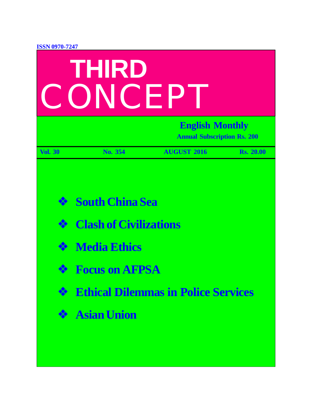| <b>ISSN 0970-7247</b><br>THIRD<br>CONCEP |                                                                                                                                                                               |                    |                  |  |  |
|------------------------------------------|-------------------------------------------------------------------------------------------------------------------------------------------------------------------------------|--------------------|------------------|--|--|
|                                          | <b>English Monthly</b><br><b>Annual Subscription Rs. 200</b>                                                                                                                  |                    |                  |  |  |
| <b>Vol. 30</b>                           | No. 354                                                                                                                                                                       | <b>AUGUST 2016</b> | <b>Rs. 20.00</b> |  |  |
| ❖<br>$\frac{1}{2}$<br>❖<br>參<br>參        | <b>South China Sea</b><br><b>Clash of Civilizations</b><br><b>Media Ethics</b><br><b>S</b> Focus on AFPSA<br><b>Ethical Dilemmas in Police Services</b><br><b>Asian Union</b> |                    |                  |  |  |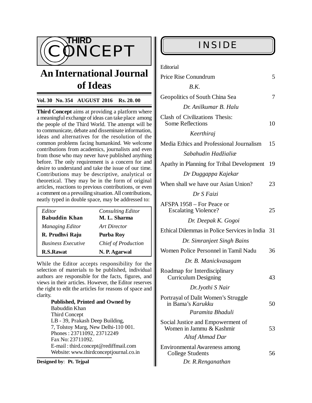

# **An International Journal of Ideas**

### **Vol. 30 No. 354 AUGUST 2016 Rs. 20. 00**

**Third Concept** aims at providing a platform where a meaningful exchange of ideas can take place among the people of the Third World. The attempt will be to communicate, debate and disseminate information, ideas and alternatives for the resolution of the common problems facing humankind. We welcome contributions from academics, journalists and even from those who may never have published anything before. The only requirement is a concern for and desire to understand and take the issue of our time. Contributions may be descriptive, analytical or theoretical. They may be in the form of original articles, reactions to previous contributions, or even a comment on a prevailing situation. All contributions, neatly typed in double space, may be addressed to:

| Editor                    | <b>Consulting Editor</b>   |
|---------------------------|----------------------------|
| <b>Babuddin Khan</b>      | M. L. Sharma               |
| <b>Managing Editor</b>    | Art Director               |
| R. Prudhvi Raju           | Purba Roy                  |
| <b>Business Executive</b> | <b>Chief of Production</b> |
| <b>R.S.Rawat</b>          | N. P. Agarwal              |

While the Editor accepts responsibility for the selection of materials to be published, individual authors are responsible for the facts, figures, and views in their articles. However, the Editor reserves the right to edit the articles for reasons of space and clarity.

> **Published, Printed and Owned by** Babuddin Khan Third Concept LB - 39, Prakash Deep Building, 7, Tolstoy Marg, New Delhi-110 001. Phones : 23711092, 23712249 Fax No: 23711092. E-mail : [third.concept@rediffmail.com](mailto:third.concept@rediffmail.com) Website: [www.thirdconceptjournal.co.in](http://www.thirdconceptjournal.co.in)

**Designed by**: **Pt. Tejpal**

| INSIDE                                                       |    |
|--------------------------------------------------------------|----|
| Editorial                                                    |    |
| Price Rise Conundrum                                         | 5  |
| B.K.                                                         |    |
| Geopolitics of South China Sea                               | 7  |
| Dr. Anilkumar B. Halu                                        |    |
| Clash of Civilizations Thesis:                               |    |
| <b>Some Reflections</b>                                      | 10 |
| Keerthiraj                                                   |    |
| Media Ethics and Professional Journalism                     | 15 |
| Sabahudin Hadžialiæ                                          |    |
| Apathy in Planning for Tribal Development                    | 19 |
| Dr Duggappa Kajekar                                          |    |
| When shall we have our Asian Union?                          | 23 |
| Dr S Faizi                                                   |    |
| AFSPA 1958 – For Peace or<br><b>Escalating Violence?</b>     | 25 |
| Dr. Deepak K. Gogoi                                          |    |
| Ethical Dilemmas in Police Services in India 31              |    |
| Dr. Simranjeet Singh Bains                                   |    |
| Women Police Personnel in Tamil Nadu                         | 36 |
| Dr. B. Manickvasagam                                         |    |
| Roadmap for Interdisciplinary<br><b>Curriculum Designing</b> | 43 |
| Dr.Jyothi S Nair                                             |    |
| Portrayal of Dalit Women's Struggle<br>in Bama's Karukku     | 50 |
| Paramita Bhaduli                                             |    |

| Social Justice and Empowerment of<br>Women in Jammu & Kashmir<br>Altaf Ahmad Dar | 53 |
|----------------------------------------------------------------------------------|----|
| Environmental Awareness among<br><b>College Students</b>                         | 56 |

 *Dr. R.Renganathan*